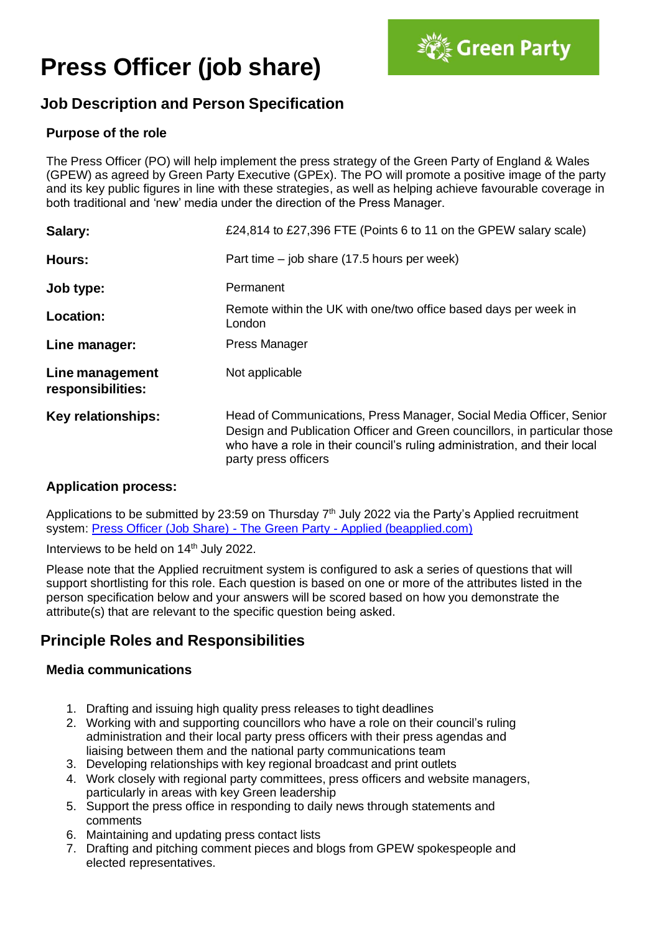# **Press Officer (job share)**



# **Job Description and Person Specification**

## **Purpose of the role**

The Press Officer (PO) will help implement the press strategy of the Green Party of England & Wales (GPEW) as agreed by Green Party Executive (GPEx). The PO will promote a positive image of the party and its key public figures in line with these strategies, as well as helping achieve favourable coverage in both traditional and 'new' media under the direction of the Press Manager.

| Salary:                              | £24,814 to £27,396 FTE (Points 6 to 11 on the GPEW salary scale)                                                                                                                                                                                      |  |  |
|--------------------------------------|-------------------------------------------------------------------------------------------------------------------------------------------------------------------------------------------------------------------------------------------------------|--|--|
| Hours:                               | Part time $-$ job share (17.5 hours per week)                                                                                                                                                                                                         |  |  |
| Job type:                            | Permanent                                                                                                                                                                                                                                             |  |  |
| Location:                            | Remote within the UK with one/two office based days per week in<br>London                                                                                                                                                                             |  |  |
| Line manager:                        | <b>Press Manager</b>                                                                                                                                                                                                                                  |  |  |
| Line management<br>responsibilities: | Not applicable                                                                                                                                                                                                                                        |  |  |
| <b>Key relationships:</b>            | Head of Communications, Press Manager, Social Media Officer, Senior<br>Design and Publication Officer and Green councillors, in particular those<br>who have a role in their council's ruling administration, and their local<br>party press officers |  |  |

## **Application process:**

Applications to be submitted by 23:59 on Thursday  $7<sup>th</sup>$  July 2022 via the Party's Applied recruitment system: [Press Officer \(Job Share\)](https://app.beapplied.com/apply/kuk6xyjlx7) - The Green Party - Applied (beapplied.com)

Interviews to be held on 14<sup>th</sup> July 2022.

Please note that the Applied recruitment system is configured to ask a series of questions that will support shortlisting for this role. Each question is based on one or more of the attributes listed in the person specification below and your answers will be scored based on how you demonstrate the attribute(s) that are relevant to the specific question being asked.

## **Principle Roles and Responsibilities**

## **Media communications**

- 1. Drafting and issuing high quality press releases to tight deadlines
- 2. Working with and supporting councillors who have a role on their council's ruling administration and their local party press officers with their press agendas and liaising between them and the national party communications team
- 3. Developing relationships with key regional broadcast and print outlets
- 4. Work closely with regional party committees, press officers and website managers, particularly in areas with key Green leadership
- 5. Support the press office in responding to daily news through statements and comments
- 6. Maintaining and updating press contact lists
- 7. Drafting and pitching comment pieces and blogs from GPEW spokespeople and elected representatives.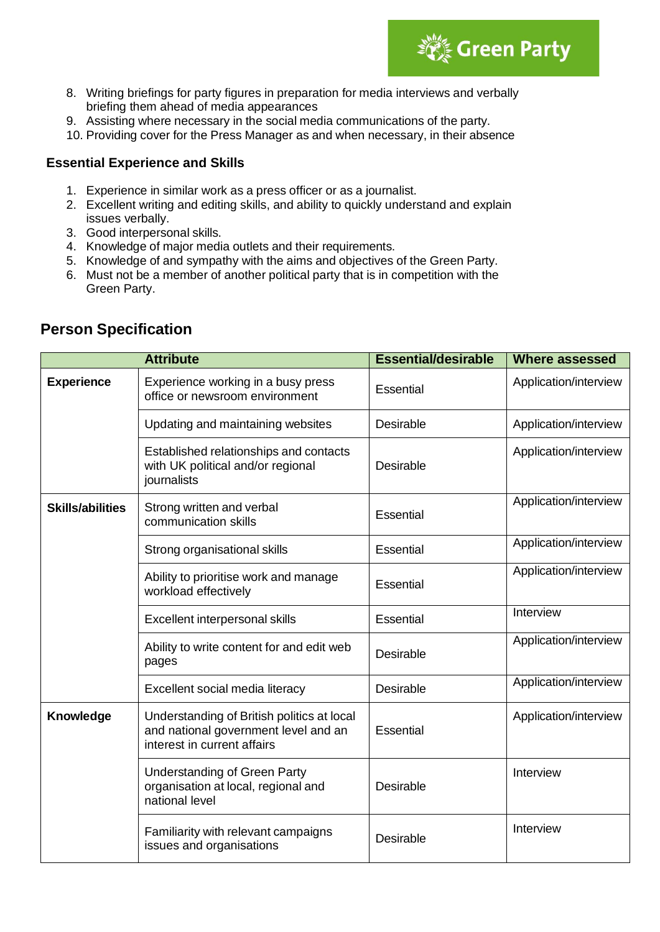

- 8. Writing briefings for party figures in preparation for media interviews and verbally briefing them ahead of media appearances
- 9. Assisting where necessary in the social media communications of the party.
- 10. Providing cover for the Press Manager as and when necessary, in their absence

#### **Essential Experience and Skills**

- 1. Experience in similar work as a press officer or as a journalist.
- 2. Excellent writing and editing skills, and ability to quickly understand and explain issues verbally.
- 3. Good interpersonal skills.
- 4. Knowledge of major media outlets and their requirements.
- 5. Knowledge of and sympathy with the aims and objectives of the Green Party.
- 6. Must not be a member of another political party that is in competition with the Green Party.

| <b>Attribute</b>        |                                                                                                                   | <b>Essential/desirable</b> | <b>Where assessed</b> |
|-------------------------|-------------------------------------------------------------------------------------------------------------------|----------------------------|-----------------------|
| <b>Experience</b>       | Experience working in a busy press<br>office or newsroom environment                                              | Essential                  | Application/interview |
|                         | Updating and maintaining websites                                                                                 | Desirable                  | Application/interview |
|                         | Established relationships and contacts<br>with UK political and/or regional<br>journalists                        | Desirable                  | Application/interview |
| <b>Skills/abilities</b> | Strong written and verbal<br>communication skills                                                                 | Essential                  | Application/interview |
|                         | Strong organisational skills                                                                                      | Essential                  | Application/interview |
|                         | Ability to prioritise work and manage<br>workload effectively                                                     | Essential                  | Application/interview |
|                         | Excellent interpersonal skills                                                                                    | Essential                  | Interview             |
|                         | Ability to write content for and edit web<br>pages                                                                | Desirable                  | Application/interview |
|                         | Excellent social media literacy                                                                                   | Desirable                  | Application/interview |
| Knowledge               | Understanding of British politics at local<br>and national government level and an<br>interest in current affairs | Essential                  | Application/interview |
|                         | <b>Understanding of Green Party</b><br>organisation at local, regional and<br>national level                      | Desirable                  | Interview             |
|                         | Familiarity with relevant campaigns<br>issues and organisations                                                   | Desirable                  | Interview             |

## **Person Specification**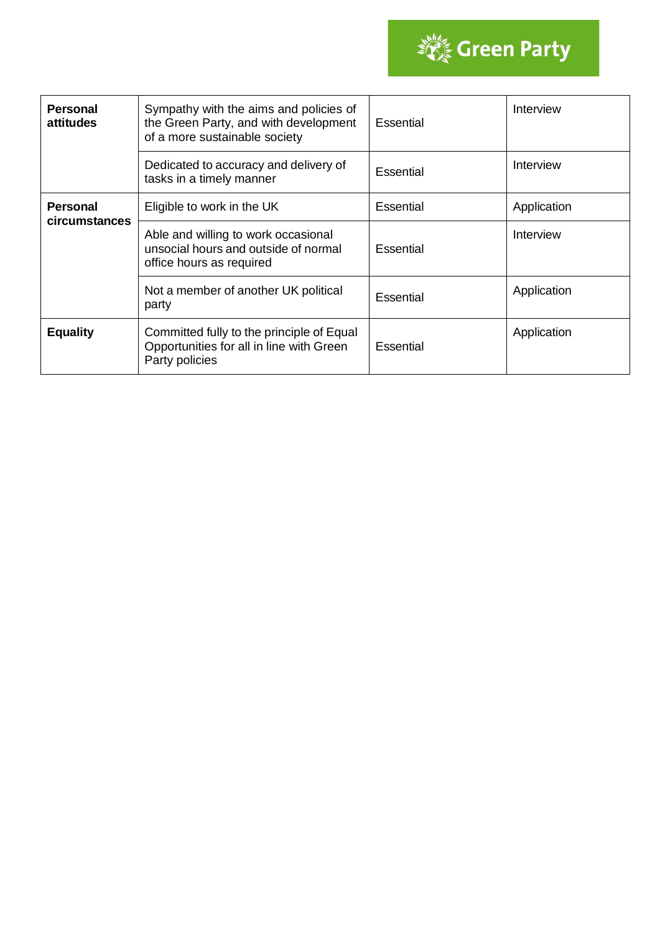

| <b>Personal</b><br>attitudes     | Sympathy with the aims and policies of<br>the Green Party, and with development<br>of a more sustainable society | Essential | Interview   |
|----------------------------------|------------------------------------------------------------------------------------------------------------------|-----------|-------------|
|                                  | Dedicated to accuracy and delivery of<br>tasks in a timely manner                                                | Essential | Interview   |
| <b>Personal</b><br>circumstances | Eligible to work in the UK                                                                                       | Essential | Application |
|                                  | Able and willing to work occasional<br>unsocial hours and outside of normal<br>office hours as required          | Essential | Interview   |
|                                  | Not a member of another UK political<br>party                                                                    | Essential | Application |
| <b>Equality</b>                  | Committed fully to the principle of Equal<br>Opportunities for all in line with Green<br>Party policies          | Essential | Application |